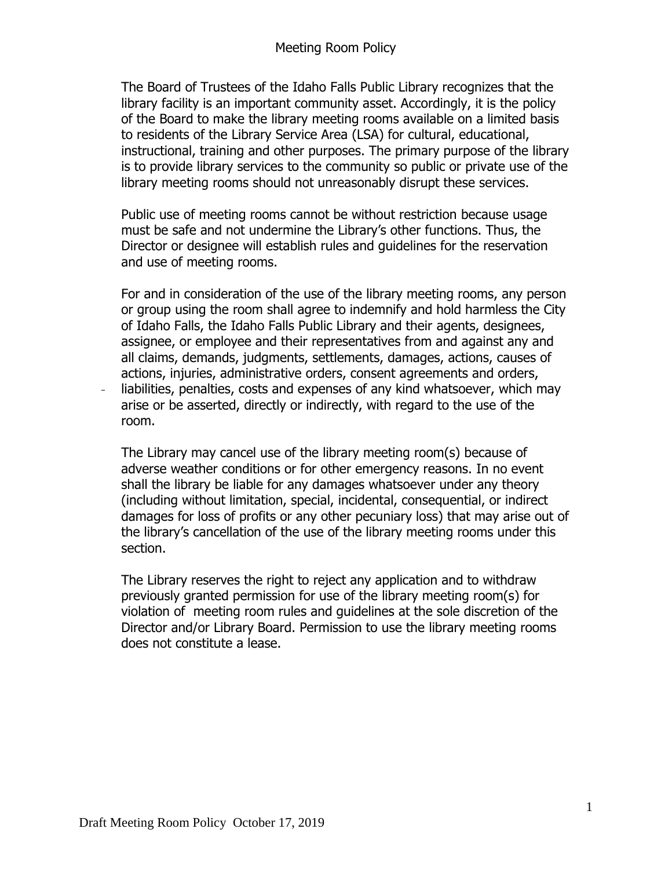The Board of Trustees of the Idaho Falls Public Library recognizes that the library facility is an important community asset. Accordingly, it is the policy of the Board to make the library meeting rooms available on a limited basis to residents of the Library Service Area (LSA) for cultural, educational, instructional, training and other purposes. The primary purpose of the library is to provide library services to the community so public or private use of the library meeting rooms should not unreasonably disrupt these services.

Public use of meeting rooms cannot be without restriction because usage must be safe and not undermine the Library's other functions. Thus, the Director or designee will establish rules and guidelines for the reservation and use of meeting rooms.

For and in consideration of the use of the library meeting rooms, any person or group using the room shall agree to indemnify and hold harmless the City of Idaho Falls, the Idaho Falls Public Library and their agents, designees, assignee, or employee and their representatives from and against any and all claims, demands, judgments, settlements, damages, actions, causes of actions, injuries, administrative orders, consent agreements and orders, liabilities, penalties, costs and expenses of any kind whatsoever, which may arise or be asserted, directly or indirectly, with regard to the use of the room.

The Library may cancel use of the library meeting room(s) because of adverse weather conditions or for other emergency reasons. In no event shall the library be liable for any damages whatsoever under any theory (including without limitation, special, incidental, consequential, or indirect damages for loss of profits or any other pecuniary loss) that may arise out of the library's cancellation of the use of the library meeting rooms under this section.

The Library reserves the right to reject any application and to withdraw previously granted permission for use of the library meeting room(s) for violation of meeting room rules and guidelines at the sole discretion of the Director and/or Library Board. Permission to use the library meeting rooms does not constitute a lease.

 $\frac{1}{2}$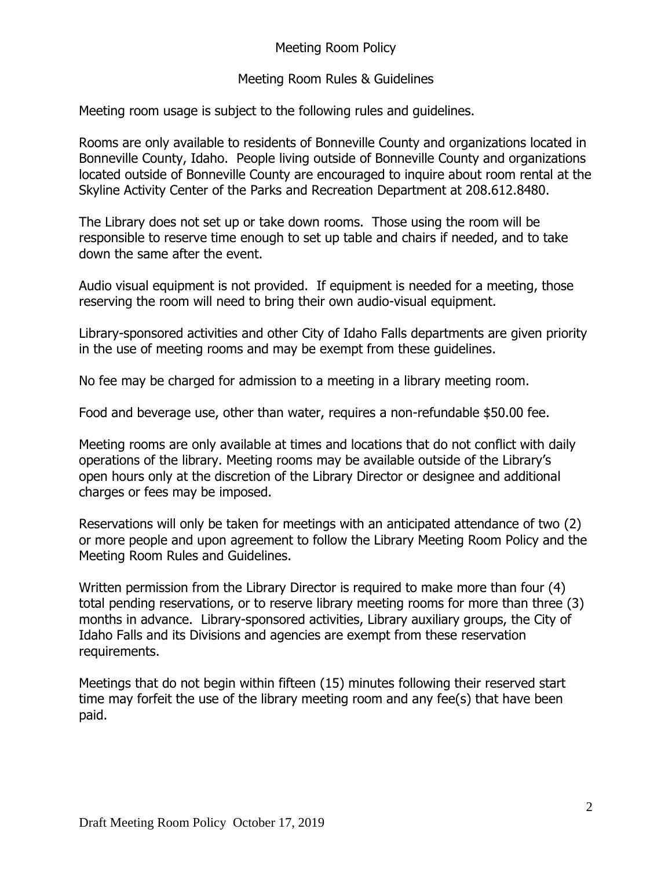## Meeting Room Policy

## Meeting Room Rules & Guidelines

Meeting room usage is subject to the following rules and guidelines.

Rooms are only available to residents of Bonneville County and organizations located in Bonneville County, Idaho. People living outside of Bonneville County and organizations located outside of Bonneville County are encouraged to inquire about room rental at the Skyline Activity Center of the Parks and Recreation Department at 208.612.8480.

The Library does not set up or take down rooms. Those using the room will be responsible to reserve time enough to set up table and chairs if needed, and to take down the same after the event.

Audio visual equipment is not provided. If equipment is needed for a meeting, those reserving the room will need to bring their own audio-visual equipment.

Library-sponsored activities and other City of Idaho Falls departments are given priority in the use of meeting rooms and may be exempt from these guidelines.

No fee may be charged for admission to a meeting in a library meeting room.

Food and beverage use, other than water, requires a non-refundable \$50.00 fee.

Meeting rooms are only available at times and locations that do not conflict with daily operations of the library. Meeting rooms may be available outside of the Library's open hours only at the discretion of the Library Director or designee and additional charges or fees may be imposed.

Reservations will only be taken for meetings with an anticipated attendance of two (2) or more people and upon agreement to follow the Library Meeting Room Policy and the Meeting Room Rules and Guidelines.

Written permission from the Library Director is required to make more than four (4) total pending reservations, or to reserve library meeting rooms for more than three (3) months in advance. Library-sponsored activities, Library auxiliary groups, the City of Idaho Falls and its Divisions and agencies are exempt from these reservation requirements.

Meetings that do not begin within fifteen (15) minutes following their reserved start time may forfeit the use of the library meeting room and any fee(s) that have been paid.